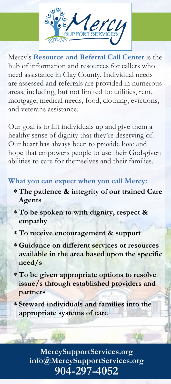

Mercy's **Resource and Referral Call Center** is the hub of information and resources for callers who need assistance in Clay County. Individual needs are assessed and referrals are provided in numerous areas, including, but not limited to: utilities, rent, mortgage, medical needs, food, clothing, evictions, and veterans assistance.

Our goal is to lift individuals up and give them a healthy sense of dignity that they're deserving of. Our heart has always been to provide love and hope that empowers people to use their God-given abilities to care for themselves and their families.

## **What you can expect when you call Mercy:**

- **The patience & integrity of our trained Care Agents**
- **To be spoken to with dignity, respect & empathy**
- **To receive encouragement & support**
- **Guidance on different services or resources available in the area based upon the specific need/s**
- **To be given appropriate options to resolve issue/s through established providers and partners**
- **Steward individuals and families into the appropriate systems of care**

**MercySupportServices.org info@MercySupportServices.org 904-297-4052**